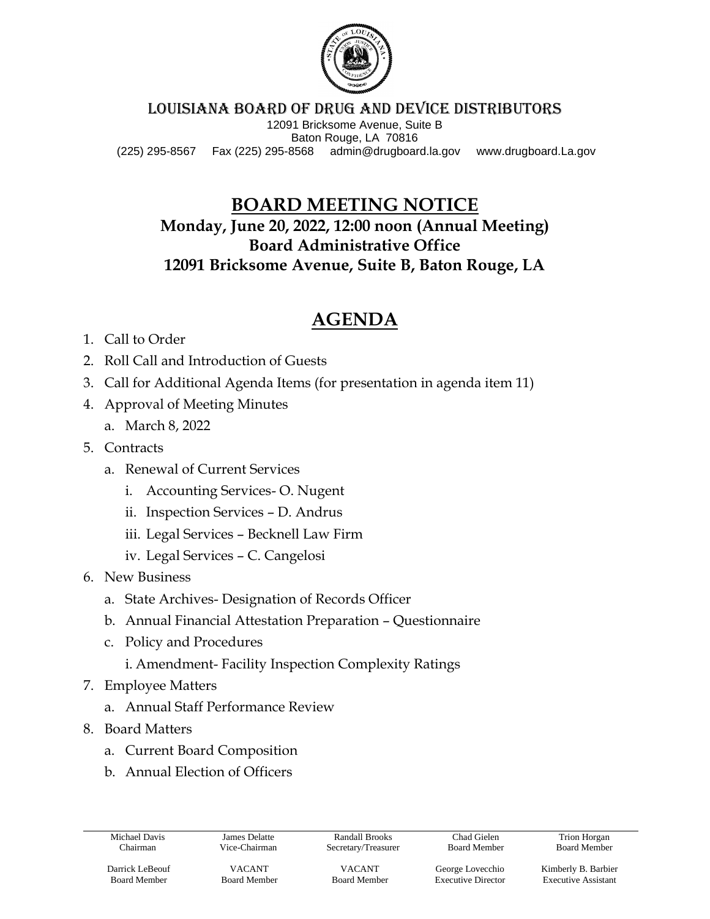

#### LOUISIANA BOARD OF DRUG and device DISTRIBUTORS

12091 Bricksome Avenue, Suite B Baton Rouge, LA 70816 (225) 295-8567 Fax (225) 295-8568 admin@drugboard.la.gov www.drugboard.La.gov

### **BOARD MEETING NOTICE**

**Monday, June 20, 2022, 12:00 noon (Annual Meeting) Board Administrative Office 12091 Bricksome Avenue, Suite B, Baton Rouge, LA**

## **AGENDA**

- 1. Call to Order
- 2. Roll Call and Introduction of Guests
- 3. Call for Additional Agenda Items (for presentation in agenda item 11)
- 4. Approval of Meeting Minutes
	- a. March 8, 2022
- 5. Contracts
	- a. Renewal of Current Services
		- i. Accounting Services- O. Nugent
		- ii. Inspection Services D. Andrus
		- iii. Legal Services Becknell Law Firm
		- iv. Legal Services C. Cangelosi
- 6. New Business
	- a. State Archives- Designation of Records Officer
	- b. Annual Financial Attestation Preparation Questionnaire
	- c. Policy and Procedures
		- i. Amendment- Facility Inspection Complexity Ratings
- 7. Employee Matters
	- a. Annual Staff Performance Review
- 8. Board Matters
	- a. Current Board Composition
	- b. Annual Election of Officers

Michael Davis Chairman

James Delatte Vice-Chairman

Randall Brooks Secretary/Treasurer

Chad Gielen Board Member

Trion Horgan Board Member

Darrick LeBeouf Board Member

VACANT Board Member

VACANT Board Member

George Lovecchio Executive Director Kimberly B. Barbier Executive Assistant